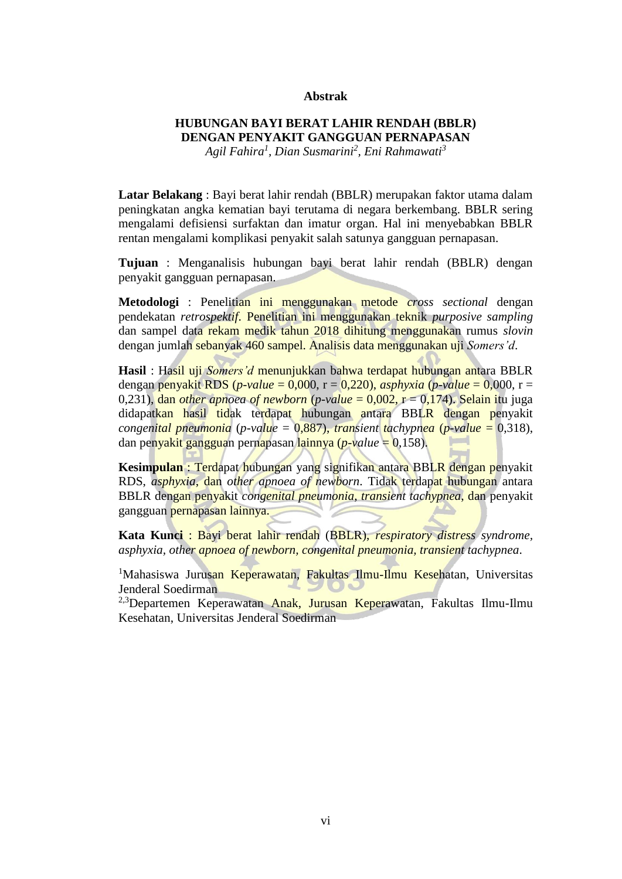## **Abstrak**

## **HUBUNGAN BAYI BERAT LAHIR RENDAH (BBLR) DENGAN PENYAKIT GANGGUAN PERNAPASAN** *Agil Fahira<sup>1</sup> , Dian Susmarini<sup>2</sup> , Eni Rahmawati<sup>3</sup>*

**Latar Belakang** : Bayi berat lahir rendah (BBLR) merupakan faktor utama dalam peningkatan angka kematian bayi terutama di negara berkembang. BBLR sering mengalami defisiensi surfaktan dan imatur organ. Hal ini menyebabkan BBLR rentan mengalami komplikasi penyakit salah satunya gangguan pernapasan.

**Tujuan** : Menganalisis hubungan bayi berat lahir rendah (BBLR) dengan penyakit gangguan pernapasan.

**Metodologi** : Penelitian ini menggunakan metode *cross sectional* dengan pendekatan *retrospektif*. Penelitian ini menggunakan teknik *purposive sampling* dan sampel data rekam medik tahun 2018 dihitung menggunakan rumus *slovin* dengan jumlah sebanyak 460 sampel. Analisis data menggunakan uji *Somers'd*.

**Hasil** : Hasil uji *Somers'd* menunjukkan bahwa terdapat hubungan antara BBLR dengan penyakit RDS (*p-value* = 0,000, r = 0,220), *asphyxia* (*p-value* = 0,000, r = 0,231), dan *other apnoea of newborn* (*p-value* = 0,002, r = 0,174). Selain itu juga didapatkan hasil tidak terdapat hubungan antara BBLR dengan penyakit *congenital pneumonia* (*p-value* = 0,887), *transient tachypnea* (*p-value* = 0,318), dan penyakit gangguan pernapasan lainnya (*p-value* = 0,158).

**Kesimpulan** : Terdapat hubungan yang signifikan antara BBLR dengan penyakit RDS, *asphyxia*, dan *other apnoea of newborn*. Tidak terdapat hubungan antara BBLR dengan penyakit *congenital pneumonia*, *transient tachypnea*, dan penyakit gangguan pernapasan lainnya.

**Kata Kunci** : Bayi berat lahir rendah (BBLR), *respiratory distress syndrome, asphyxia, other apnoea of newborn, congenital pneumonia, transient tachypnea*.

<sup>1</sup>Mahasiswa Jurusan Keperawatan, Fakultas Ilmu-Ilmu Kesehatan, Universitas Jenderal Soedirman

<sup>2,3</sup>Departemen Keperawatan Anak, Jurusan Keperawatan, Fakultas Ilmu-Ilmu Kesehatan, Universitas Jenderal Soedirman